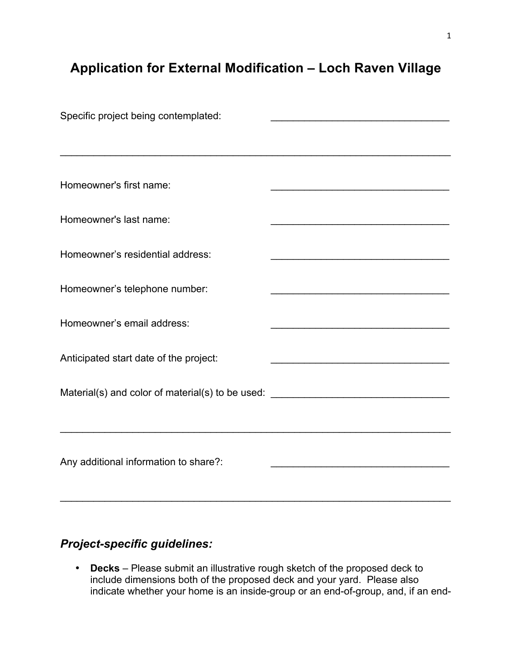## **Application for External Modification – Loch Raven Village**

| Specific project being contemplated:                                             |                                                   |
|----------------------------------------------------------------------------------|---------------------------------------------------|
|                                                                                  |                                                   |
|                                                                                  |                                                   |
| Homeowner's first name:                                                          |                                                   |
| Homeowner's last name:                                                           |                                                   |
|                                                                                  | <u> 1980 - Johann Barbara, martxa alemaniar a</u> |
| Homeowner's residential address:                                                 |                                                   |
|                                                                                  |                                                   |
| Homeowner's telephone number:                                                    |                                                   |
|                                                                                  |                                                   |
| Homeowner's email address:                                                       |                                                   |
| Anticipated start date of the project:                                           |                                                   |
|                                                                                  |                                                   |
| Material(s) and color of material(s) to be used: _______________________________ |                                                   |
|                                                                                  |                                                   |
|                                                                                  |                                                   |
|                                                                                  |                                                   |
| Any additional information to share?:                                            |                                                   |
|                                                                                  |                                                   |

## *Project-specific guidelines:*

• **Decks** – Please submit an illustrative rough sketch of the proposed deck to include dimensions both of the proposed deck and your yard. Please also indicate whether your home is an inside-group or an end-of-group, and, if an end-

 $\mathcal{L}_\text{max} = \mathcal{L}_\text{max} = \mathcal{L}_\text{max} = \mathcal{L}_\text{max} = \mathcal{L}_\text{max} = \mathcal{L}_\text{max} = \mathcal{L}_\text{max} = \mathcal{L}_\text{max} = \mathcal{L}_\text{max} = \mathcal{L}_\text{max} = \mathcal{L}_\text{max} = \mathcal{L}_\text{max} = \mathcal{L}_\text{max} = \mathcal{L}_\text{max} = \mathcal{L}_\text{max} = \mathcal{L}_\text{max} = \mathcal{L}_\text{max} = \mathcal{L}_\text{max} = \mathcal{$